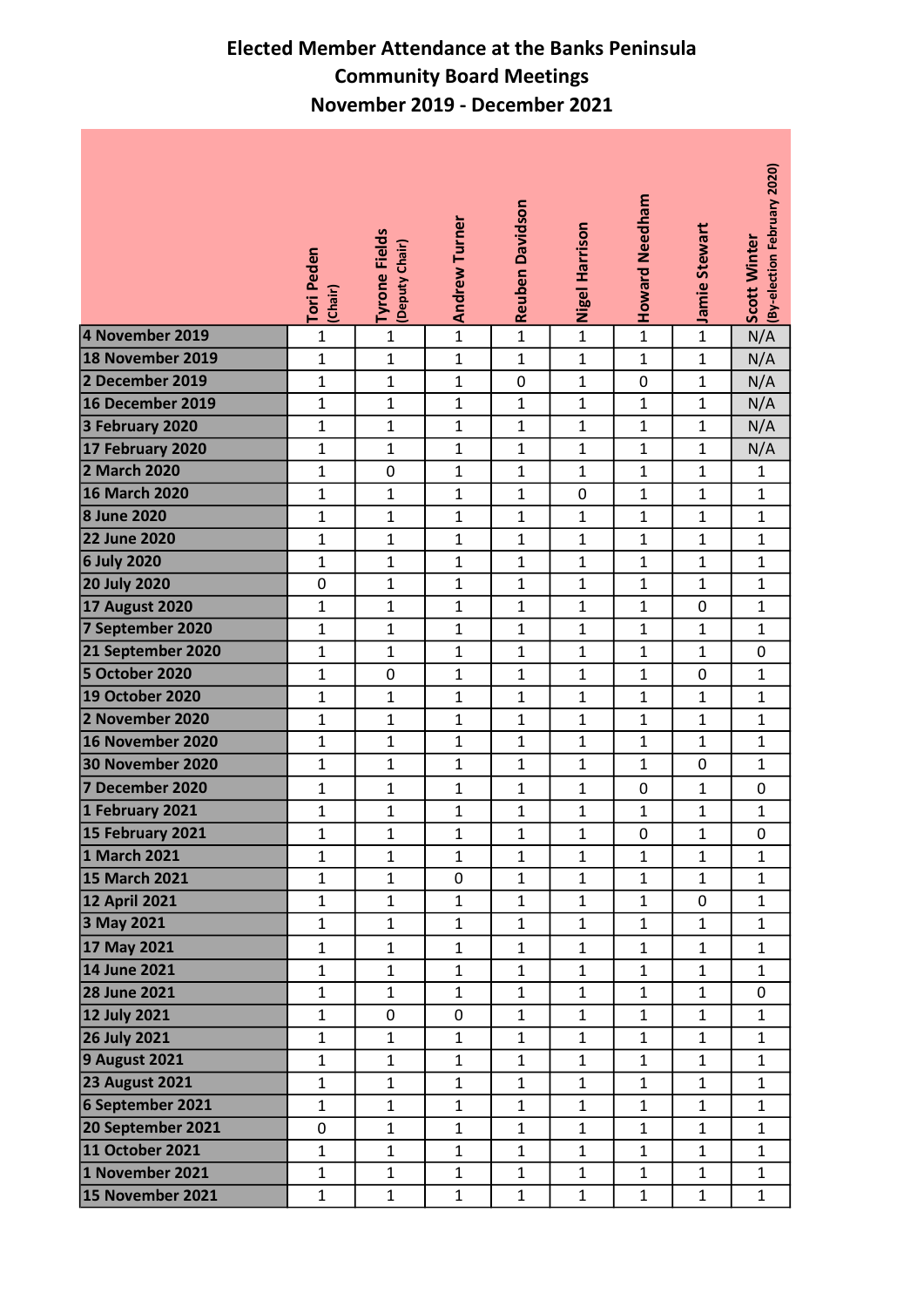## Elected Member Attendance at the Banks Peninsula Community Board Meetings November 2019 - December 2021

|                                            | Tori Peden<br>(Chair)        | <b>Tyrone Fields</b><br>(Deputy Chair) | <b>Andrew Turner</b>         | <b>Reuben Davidson</b>       | Nigel Harrison              | Howard Needham               | Jamie Stewart     | (By-election February 2020)<br>Scott Winter |
|--------------------------------------------|------------------------------|----------------------------------------|------------------------------|------------------------------|-----------------------------|------------------------------|-------------------|---------------------------------------------|
| 4 November 2019                            | $\mathbf 1$                  | $\mathbf{1}$                           | $\mathbf{1}$                 | $\mathbf{1}$                 | $\overline{1}$              | $\mathbf{1}$                 | $\mathbf{1}$      | N/A                                         |
| 18 November 2019                           | $\mathbf 1$                  | $\mathbf{1}$                           | $\mathbf{1}$                 | $\mathbf{1}$                 | $\mathbf 1$                 | $\mathbf{1}$                 | $\mathbf{1}$      | N/A                                         |
| 2 December 2019                            | $\mathbf{1}$                 | $\mathbf{1}$                           | $\mathbf{1}$                 | $\mathbf 0$                  | $\mathbf{1}$                | 0                            | $\mathbf{1}$      | N/A                                         |
| 16 December 2019                           | $\mathbf{1}$                 | $\mathbf{1}$                           | $\mathbf{1}$                 | $\mathbf{1}$                 | $\mathbf 1$                 | $\mathbf{1}$                 | $\mathbf{1}$      | N/A                                         |
| 3 February 2020                            | $\mathbf{1}$                 | $\mathbf{1}$                           | $\mathbf{1}$                 | $\mathbf{1}$                 | $\mathbf{1}$                | $\mathbf{1}$                 | $\mathbf{1}$      | N/A                                         |
| 17 February 2020                           | $\mathbf{1}$                 | $\mathbf{1}$                           | $\mathbf{1}$                 | $\mathbf{1}$                 | $\mathbf{1}$                | $\mathbf{1}$                 | $\mathbf{1}$      | N/A                                         |
| 2 March 2020                               | $\mathbf{1}$                 | 0                                      | $\mathbf{1}$                 | 1                            | $\mathbf{1}$                | $\mathbf{1}$                 | $\mathbf{1}$      | 1                                           |
| <b>16 March 2020</b>                       | $\mathbf{1}$                 | $\mathbf{1}$                           | $\mathbf{1}$                 | $\mathbf{1}$                 | $\pmb{0}$                   | $\mathbf{1}$                 | $\mathbf{1}$      | $\mathbf{1}$                                |
| 8 June 2020                                | $\mathbf{1}$                 | $\mathbf{1}$                           | $\mathbf{1}$                 | $\mathbf{1}$                 | $\mathbf 1$                 | $\mathbf{1}$                 | $\mathbf{1}$      | $\mathbf{1}$                                |
| <b>22 June 2020</b>                        | $\mathbf{1}$                 | $\mathbf{1}$                           | $\mathbf{1}$                 | $\mathbf{1}$                 | $\mathbf{1}$                | $\mathbf{1}$                 | $\mathbf{1}$      | $\mathbf{1}$                                |
| <b>6 July 2020</b>                         | $\mathbf{1}$                 | $\mathbf{1}$                           | $\mathbf{1}$                 | $\mathbf{1}$                 | $\mathbf{1}$                | $\mathbf{1}$                 | $\mathbf{1}$      | $\mathbf{1}$                                |
| <b>20 July 2020</b>                        | $\pmb{0}$                    | $\mathbf{1}$                           | $\mathbf{1}$                 | $\mathbf{1}$                 | $\mathbf{1}$                | $\mathbf{1}$                 | $\mathbf{1}$      | $\mathbf{1}$                                |
| <b>17 August 2020</b>                      | $\mathbf{1}$                 | $\mathbf{1}$                           | $\mathbf{1}$                 | $\mathbf{1}$                 | $\mathbf{1}$                | $\mathbf{1}$                 | 0                 | $\mathbf{1}$                                |
| 7 September 2020                           | $\mathbf{1}$                 | $\mathbf{1}$                           | $\mathbf{1}$                 | $\mathbf{1}$                 | $\mathbf{1}$                | $\mathbf{1}$                 | $\mathbf{1}$      | $\mathbf{1}$                                |
| 21 September 2020<br><b>5 October 2020</b> | $\mathbf{1}$<br>$\mathbf{1}$ | $\mathbf{1}$<br>0                      | $\mathbf{1}$<br>$\mathbf{1}$ | $\mathbf{1}$<br>$\mathbf{1}$ | $\mathbf{1}$<br>$\mathbf 1$ | $\mathbf{1}$<br>$\mathbf{1}$ | $\mathbf{1}$<br>0 | 0<br>$\mathbf 1$                            |
| <b>19 October 2020</b>                     | $\mathbf{1}$                 | $\mathbf{1}$                           | $\mathbf{1}$                 | $\mathbf{1}$                 | $\mathbf{1}$                | $\mathbf{1}$                 | $\mathbf{1}$      | $\mathbf{1}$                                |
| 2 November 2020                            | $\mathbf{1}$                 | $\mathbf{1}$                           | $\mathbf{1}$                 | $\mathbf{1}$                 | $\mathbf{1}$                | $\mathbf{1}$                 | $\mathbf{1}$      | $\mathbf{1}$                                |
| 16 November 2020                           | $\mathbf{1}$                 | $\mathbf{1}$                           | $\mathbf{1}$                 | $\mathbf{1}$                 | $\mathbf{1}$                | $\mathbf{1}$                 | $\mathbf{1}$      | $\mathbf{1}$                                |
| 30 November 2020                           | $\mathbf{1}$                 | $\mathbf{1}$                           | $\mathbf{1}$                 | $\mathbf{1}$                 | $\mathbf{1}$                | $\mathbf{1}$                 | 0                 | $\mathbf{1}$                                |
| 7 December 2020                            | $\mathbf 1$                  | $\mathbf{1}$                           | $\mathbf{1}$                 | $\mathbf{1}$                 | $\mathbf{1}$                | 0                            | $\mathbf{1}$      | 0                                           |
| 1 February 2021                            | $\mathbf 1$                  | $\mathbf 1$                            | $\mathbf{1}$                 | $\mathbf{1}$                 | $\mathbf{1}$                | $\mathbf{1}$                 | $\mathbf{1}$      | $\mathbf{1}$                                |
| 15 February 2021                           | $\mathbf 1$                  | $\mathbf{1}$                           | $\mathbf{1}$                 | $\mathbf{1}$                 | $\mathbf{1}$                | 0                            | $\mathbf{1}$      | 0                                           |
| 1 March 2021                               | $\mathbf{1}$                 | $\mathbf{1}$                           | $\mathbf{1}$                 | $\mathbf{1}$                 | $\mathbf{1}$                | $\mathbf{1}$                 | $\mathbf{1}$      | $\mathbf{1}$                                |
| 15 March 2021                              | $\mathbf 1$                  | $\mathbf 1$                            | $\mathsf{O}\xspace$          | $\mathbf{1}$                 | $\mathbf{1}$                | $\mathbf{1}$                 | $\mathbf{1}$      | $\mathbf{1}$                                |
| <b>12 April 2021</b>                       | $\mathbf{1}$                 | $\mathbf{1}$                           | $\mathbf{1}$                 | $\mathbf{1}$                 | $\mathbf{1}$                | $\mathbf{1}$                 | 0                 | $\mathbf{1}$                                |
| 3 May 2021                                 | $\mathbf{1}$                 | $\mathbf{1}$                           | $\mathbf{1}$                 | $\mathbf{1}$                 | $\mathbf{1}$                | $\mathbf{1}$                 | $\mathbf{1}$      | $\mathbf{1}$                                |
| 17 May 2021                                | $\mathbf{1}$                 | 1                                      | $\mathbf{1}$                 | 1                            | $\mathbf{1}$                | $\mathbf{1}$                 | $\mathbf{1}$      | $\mathbf{1}$                                |
| 14 June 2021                               | $\mathbf{1}$                 | $\mathbf{1}$                           | $\mathbf{1}$                 | $\mathbf{1}$                 | $\mathbf{1}$                | $\mathbf{1}$                 | $\mathbf{1}$      | $\mathbf{1}$                                |
| <b>28 June 2021</b>                        | $\mathbf{1}$                 | 1                                      | $\mathbf{1}$                 | $\mathbf{1}$                 | $\mathbf{1}$                | $\mathbf{1}$                 | 1                 | $\mathbf 0$                                 |
| <b>12 July 2021</b>                        | $\mathbf{1}$                 | 0                                      | $\mathbf 0$                  | $\mathbf{1}$                 | $\mathbf{1}$                | $\mathbf{1}$                 | $\mathbf{1}$      | $\mathbf{1}$                                |
| <b>26 July 2021</b>                        | $\mathbf 1$                  | $\mathbf{1}$                           | $\mathbf{1}$                 | $\mathbf{1}$                 | $\mathbf 1$                 | $\mathbf{1}$                 | $\mathbf{1}$      | $\mathbf{1}$                                |
| <b>9 August 2021</b>                       | $\mathbf 1$                  | $\mathbf{1}$                           | $\mathbf{1}$                 | $\mathbf{1}$                 | $\mathbf{1}$                | $\mathbf{1}$                 | $\mathbf{1}$      | $\mathbf{1}$                                |
| <b>23 August 2021</b>                      | $\mathbf{1}$                 | $\mathbf{1}$                           | $\mathbf{1}$                 | $\mathbf{1}$                 | $\mathbf{1}$                | $\mathbf{1}$                 | $\mathbf{1}$      | $\mathbf{1}$                                |
| 6 September 2021                           | $\mathbf{1}$                 | $\mathbf{1}$                           | $\mathbf{1}$                 | $\mathbf{1}$                 | $\mathbf{1}$                | $\mathbf{1}$                 | $\mathbf{1}$      | $\mathbf{1}$                                |
| 20 September 2021                          | 0                            | $\mathbf{1}$                           | $\mathbf{1}$                 | $\mathbf{1}$                 | $\mathbf{1}$                | $\mathbf{1}$                 | $\mathbf{1}$      | $\mathbf{1}$                                |
| 11 October 2021                            | $\mathbf{1}$                 | $\mathbf{1}$                           | $\mathbf{1}$                 | $\mathbf{1}$                 | $\mathbf{1}$                | $\mathbf{1}$                 | $\mathbf{1}$      | $\mathbf{1}$                                |
| 1 November 2021                            | $\mathbf{1}$                 | $\mathbf{1}$                           | $\mathbf{1}$                 | $\mathbf{1}$                 | $\mathbf{1}$                | $\mathbf{1}$                 | $\mathbf{1}$      | $\mathbf{1}$                                |
| 15 November 2021                           | $\mathbf{1}$                 | $\mathbf{1}$                           | $\mathbf{1}$                 | $\mathbf{1}$                 | $\mathbf{1}$                | $\mathbf{1}$                 | $\mathbf{1}$      | $\mathbf{1}$                                |